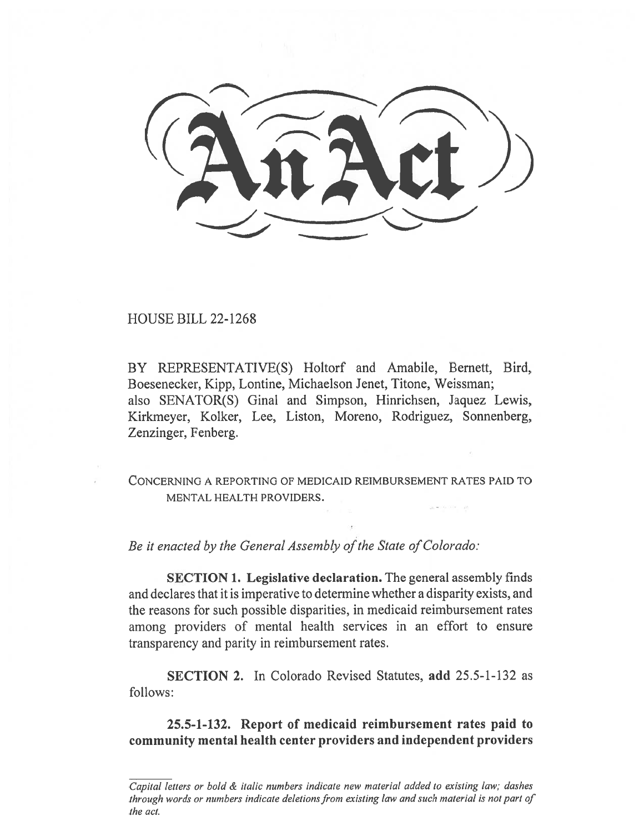HOUSE BILL 22-1268

BY REPRESENTATIVE(S) Holtorf and Amabile, Bernett, Bird, Boesenecker, Kipp, Lontine, Michaelson Jenet, Titone, Weissman; also SENATOR(S) Ginal and Simpson, Hinrichsen, Jaquez Lewis, Kirkmeyer, Kolker, Lee, Liston, Moreno, Rodriguez, Sonnenberg, Zenzinger, Fenberg.

CONCERNING A REPORTING OF MEDICAID REIMBURSEMENT RATES PAID TO MENTAL HEALTH PROVIDERS.

Be it enacted by the General Assembly of the State of Colorado:

SECTION 1. Legislative declaration. The general assembly finds and declares that it is imperative to determine whether a disparity exists, and the reasons for such possible disparities, in medicaid reimbursement rates among providers of mental health services in an effort to ensure transparency and parity in reimbursement rates.

SECTION 2. In Colorado Revised Statutes, add 25.5-1-132 as follows:

25.5-1-132. Report of medicaid reimbursement rates paid to community mental health center providers and independent providers

Capital letters or bold & italic numbers indicate new material added to existing law; dashes through words or numbers indicate deletions from existing law and such material is not part of the act.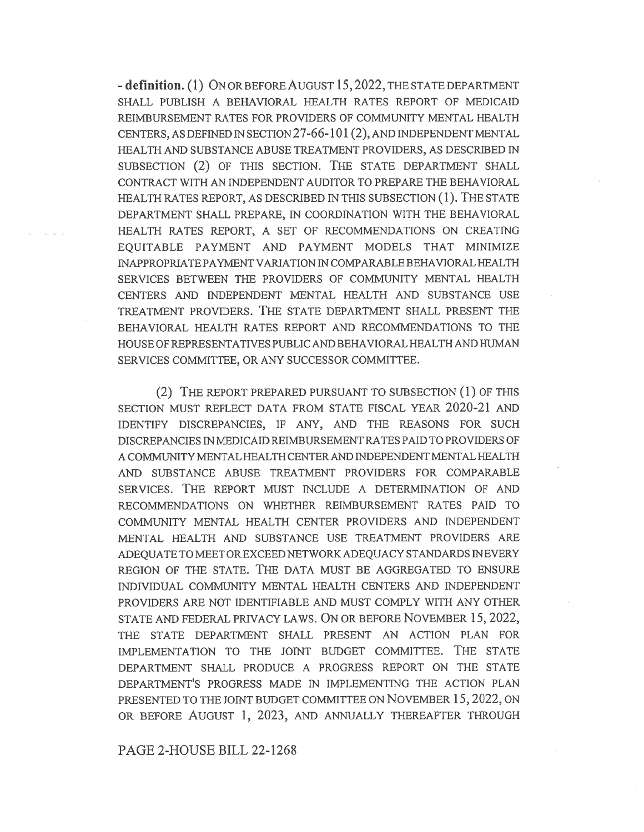- definition. (1) ON OR BEFORE AUGUST 15, 2022, THE STATE DEPARTMENT SHALL PUBLISH A BEHAVIORAL HEALTH RATES REPORT OF MEDICAID REIMBURSEMENT RATES FOR PROVIDERS OF COMMUNITY MENTAL HEALTH CENTERS, AS DEFINED IN SECTION 27-66-101(2), AND INDEPENDENT MENTAL HEALTH AND SUBSTANCE ABUSE TREATMENT PROVIDERS, AS DESCRIBED IN SUBSECTION (2) OF THIS SECTION. THE STATE DEPARTMENT SHALL CONTRACT WITH AN INDEPENDENT AUDITOR TO PREPARE THE BEHAVIORAL HEALTH RATES REPORT, AS DESCRIBED IN THIS SUBSECTION (1). THE STATE DEPARTMENT SHALL PREPARE, IN COORDINATION WITH THE BEHAVIORAL HEALTH RATES REPORT, A SET OF RECOMMENDATIONS ON CREATING EQUITABLE PAYMENT AND PAYMENT MODELS THAT MINIMIZE INAPPROPRIATE PAYMENT VARIATION IN COMPARABLE BEHAVIORAL HEALTH SERVICES BETWEEN THE PROVIDERS OF COMMUNITY MENTAL HEALTH CENTERS AND INDEPENDENT MENTAL HEALTH AND SUBSTANCE USE TREATMENT PROVIDERS. THE STATE DEPARTMENT SHALL PRESENT THE BEHAVIORAL HEALTH RATES REPORT AND RECOMMENDATIONS TO THE HOUSE OF REPRESENTATIVES PUBLIC AND BEHAVIORAL HEALTH AND HUMAN SERVICES COMMITTEE, OR ANY SUCCESSOR COMMITTEE.

(2) THE REPORT PREPARED PURSUANT TO SUBSECTION (1) OF THIS SECTION MUST REFLECT DATA FROM STATE FISCAL YEAR 2020-21 AND IDENTIFY DISCREPANCIES, IF ANY, AND THE REASONS FOR SUCH DISCREPANCIES IN MEDICAID REIMBURSEMENT RATES PAID TO PROVIDERS OF A COMMUNITY MENTAL HEALTH CENTER AND INDEPENDENT MENTAL HEALTH AND SUBSTANCE ABUSE TREATMENT PROVIDERS FOR COMPARABLE SERVICES. THE REPORT MUST INCLUDE A DETERMINATION OF AND RECOMMENDATIONS ON WHETHER REIMBURSEMENT RATES PAID TO COMMUNITY MENTAL HEALTH CENTER PROVIDERS AND INDEPENDENT MENTAL HEALTH AND SUBSTANCE USE TREATMENT PROVIDERS ARE ADEQUATE TO MEET OR EXCEED NETWORK ADEQUACY STANDARDS IN EVERY REGION OF THE STATE. THE DATA MUST BE AGGREGATED TO ENSURE INDIVIDUAL COMMUNITY MENTAL HEALTH CENTERS AND INDEPENDENT PROVIDERS ARE NOT IDENTIFIABLE AND MUST COMPLY WITH ANY OTHER STATE AND FEDERAL PRIVACY LAWS. ON OR BEFORE NOVEMBER 15, 2022, THE STATE DEPARTMENT SHALL PRESENT AN ACTION PLAN FOR IMPLEMENTATION TO THE JOINT BUDGET COMMITTEE. THE STATE DEPARTMENT SHALL PRODUCE A PROGRESS REPORT ON THE STATE DEPARTMENT'S PROGRESS MADE IN IMPLEMENTING THE ACTION PLAN PRESENTED TO THE JOINT BUDGET COMMITTEE ON NOVEMBER 15, 2022, ON OR BEFORE AUGUST 1, 2023, AND ANNUALLY THEREAFTER THROUGH

PAGE 2-HOUSE BILL 22-1268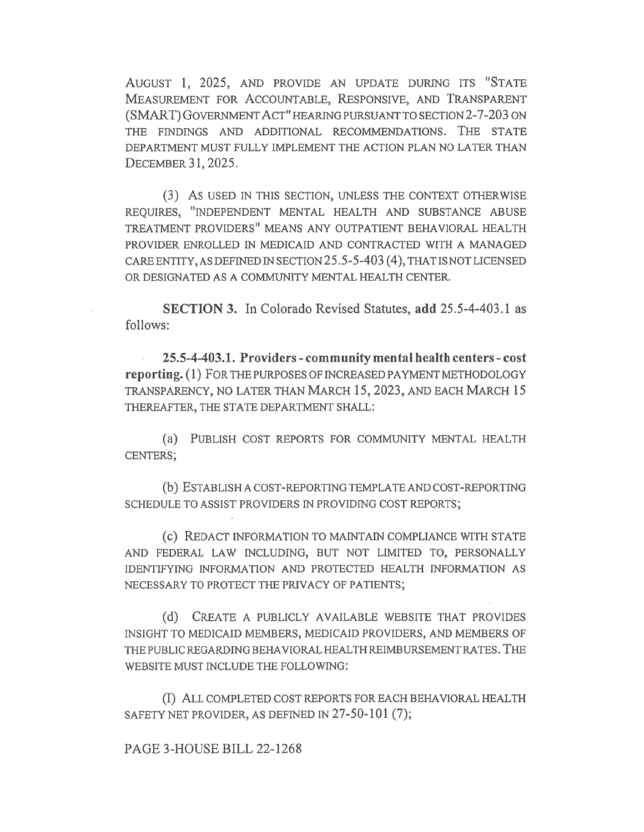AUGUST 1, 2025, AND PROVIDE AN UPDATE DURING ITS "STATE MEASUREMENT FOR ACCOUNTABLE, RESPONSIVE, AND TRANSPARENT (SMART) GOVERNMENT ACT" HEARING PURSUANT TO SECTION 2-7-203 ON THE FINDINGS AND ADDITIONAL RECOMMENDATIONS. THE STATE DEPARTMENT MUST FULLY IMPLEMENT THE ACTION PLAN NO LATER THAN DECEMBER 31, 2025.

(3) AS USED IN THIS SECTION, UNLESS THE CONTEXT OTHERWISE REQUIRES, "INDEPENDENT MENTAL HEALTH AND SUBSTANCE ABUSE TREATMENT PROVIDERS" MEANS ANY OUTPATIENT BEHAVIORAL HEALTH PROVIDER ENROLLED IN MEDICAID AND CONTRACTED WITH A MANAGED CARE ENTITY, AS DEFINED IN SECTION 25.5-5-403 (4), THAT IS NOT LICENSED OR DESIGNATED AS A COMMUNITY MENTAL HEALTH CENTER.

SECTION 3. In Colorado Revised Statutes, add 25.5-4-403.1 as follows:

25.5-4-403.1. Providers - community mental health centers - cost reporting. (1) FOR THE PURPOSES OF INCREASED PAYMENT METHODOLOGY TRANSPARENCY, NO LATER THAN MARCH 15, 2023, AND EACH MARCH 15 THEREAFTER, THE STATE DEPARTMENT SHALL:

(a) PUBLISH COST REPORTS FOR COMMUNITY MENTAL HEALTH CENTERS;

(b) ESTABLISH A COST-REPORTING TEMPLATE AND COST-REPORTING SCHEDULE TO ASSIST PROVIDERS IN PROVIDING COST REPORTS;

(c) REDACT INFORMATION TO MAINTAIN COMPLIANCE WITH STATE AND FEDERAL LAW INCLUDING, BUT NOT LIMITED TO, PERSONALLY IDENTIFYING INFORMATION AND PROTECTED HEALTH INFORMATION AS NECESSARY TO PROTECT THE PRIVACY OF PATIENTS;

(d) CREATE A PUBLICLY AVAILABLE WEBSITE THAT PROVIDES INSIGHT TO MEDICAID MEMBERS, MEDICAID PROVIDERS, AND MEMBERS OF THE PUBLIC REGARDING BEHAVIORAL HEALTH REIMBURSEMENT RATES. THE WEBSITE MUST INCLUDE THE FOLLOWING:

(I) ALL COMPLETED COST REPORTS FOR EACH BEHAVIORAL HEALTH SAFETY NET PROVIDER, AS DEFINED IN 27-50-101 (7);

## PAGE 3-HOUSE BILL 22-1268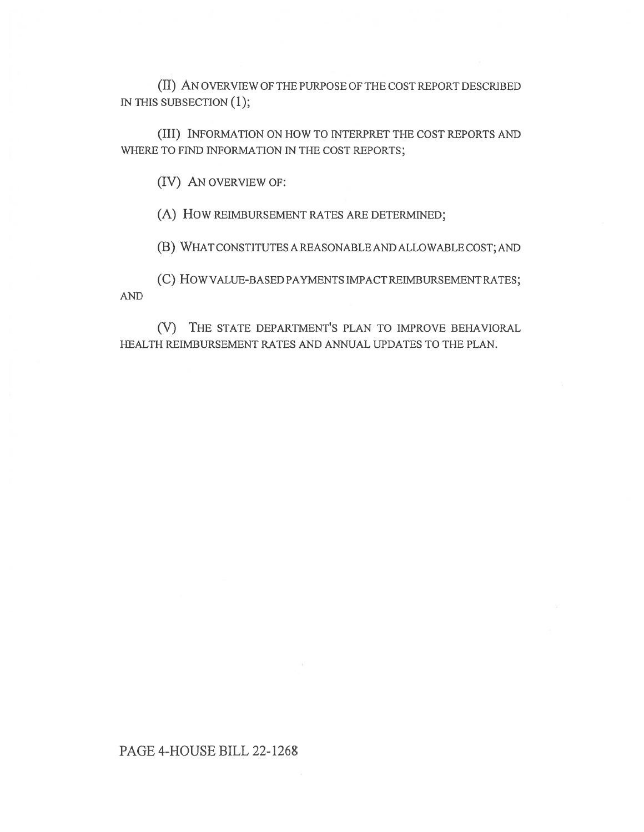(II) AN OVERVIEW OF THE PURPOSE OF THE COST REPORT DESCRIBED IN THIS SUBSECTION (1);

(III) INFORMATION ON HOW TO INTERPRET THE COST REPORTS AND WHERE TO FIND INFORMATION IN THE COST REPORTS;

(IV) AN OVERVIEW OF:

(A) How REIMBURSEMENT RATES ARE DETERMINED;

(B) WHAT CONSTITUTES A REASONABLE AND ALLOWABLE COST; AND

(C) HOW VALUE-BASED PAYMENTS IMPACT REIMBURSEMENT RATES; AND

(V) THE STATE DEPARTMENT'S PLAN TO IMPROVE BEHAVIORAL HEALTH REIMBURSEMENT RATES AND ANNUAL UPDATES TO THE PLAN.

## PAGE 4-HOUSE BILL 22-1268